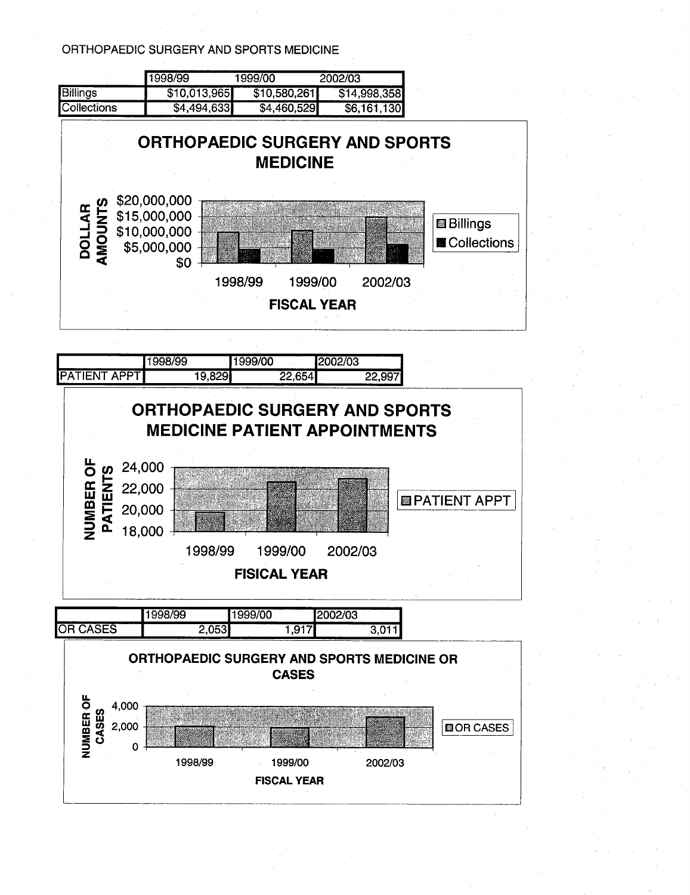ORTHOPAEDIC SURGERY AND SPORTS MEDICINE

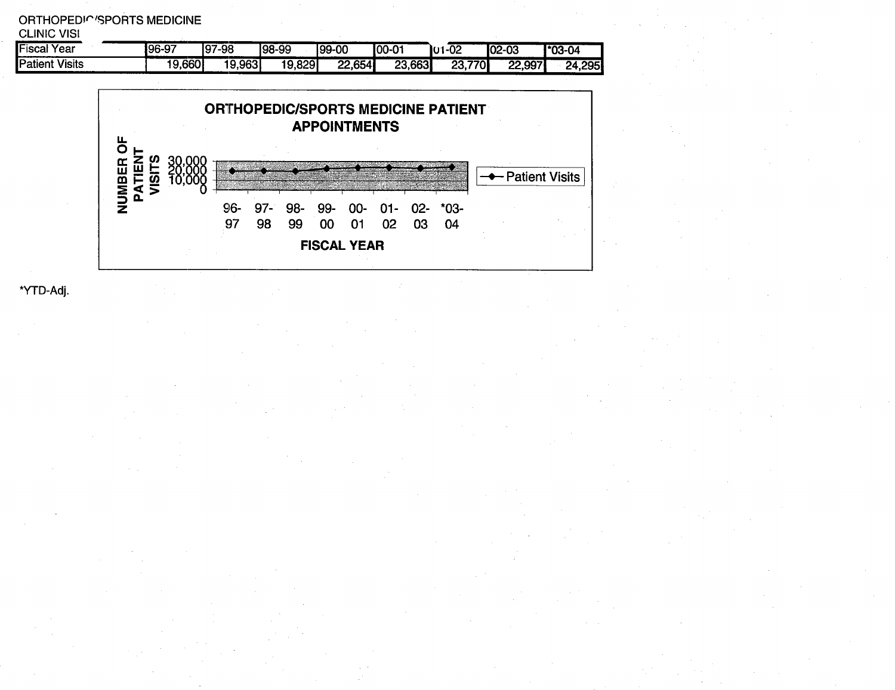| ORTHOPEDIC'SPORTS MEDICINE<br><b>CLINIC VISI</b> |        |        |        |        |               |          |          |             |
|--------------------------------------------------|--------|--------|--------|--------|---------------|----------|----------|-------------|
| <b>Fiscal Year</b>                               | 196-97 | 97-98  | 198-99 | 199-00 | <b>100-01</b> | $IU1-O2$ | $IO2-03$ | $1.03 - 04$ |
| <b>Patient Visits</b>                            | 19,660 | 19,963 | 19,829 | 22,654 | 23,663        | 23,770   | 22,997   | 24,295      |



\*YTD-Adj.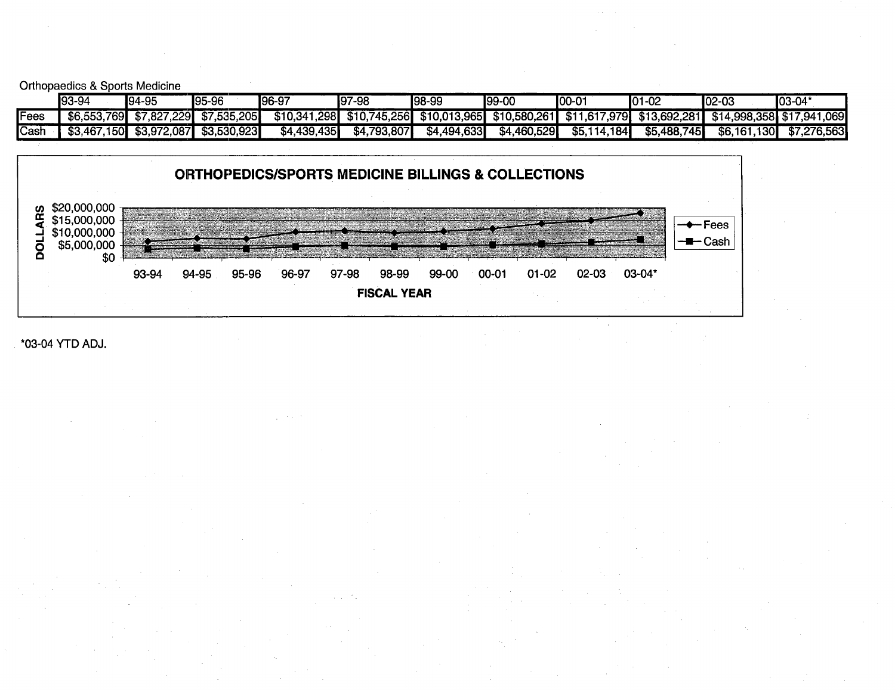Orthopaedics & Sports Medicine

|      | 93-94             | 194-95            | $95-96$     | $196-97$          | $97-98$            | 198-99       | 199-00        | $IOO-O1$        | ו∧י<br>$1-02$<br>ιv | $02 - 03$                   | 03-04       |
|------|-------------------|-------------------|-------------|-------------------|--------------------|--------------|---------------|-----------------|---------------------|-----------------------------|-------------|
| Fees | 7691<br>\$6,553.  | ′.229I<br>\$7.827 | \$7,535,205 | 1.298<br>\$10.341 | \$10.745.<br>.256I | \$10.013.965 | \$10.580.2611 | \$11,617,979    | \$13,692,281        | 4.998.358 \$17.941<br>\$14. | ,069        |
| Cash | .150I<br>\$3.467. | \$3,972,087       | \$3,530,923 | \$4.439,435       | .793.807<br>\$4    | \$4,494,633  | \$4,460,529   | 114.184<br>\$5. | \$5,488,745         | 130 <b>I</b><br>\$6.161     | \$7,276,563 |



#### \*03-04 YTD ADJ.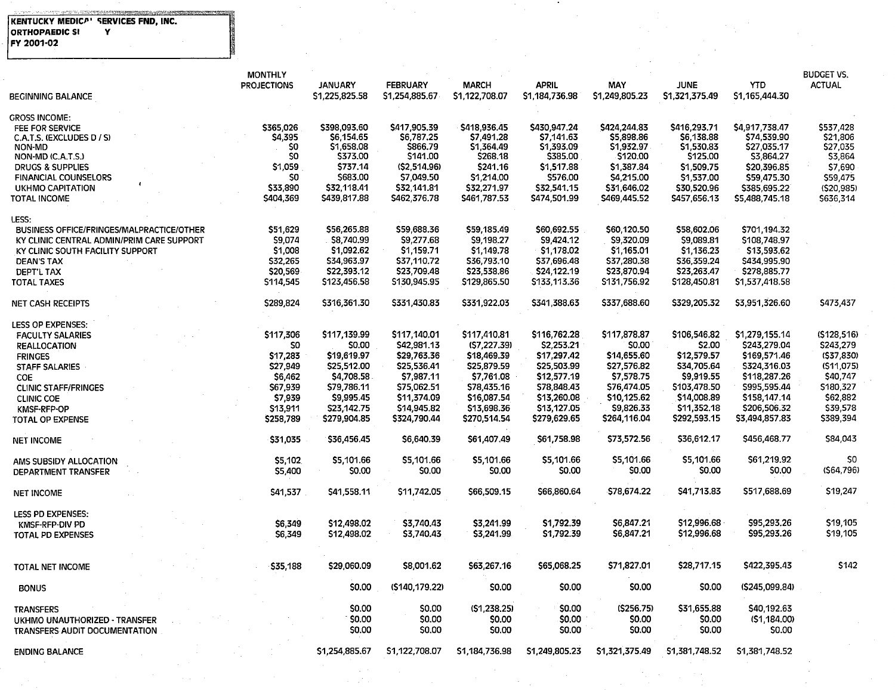#### e de la companya de la companya de la provincia de la companya de la companya de la companya de la companya de<br>La companya de la companya de la companya de la companya de la companya de la companya de la companya de la co KENTUCKY MEDICA'' SERVICES FND, INC.<br>ORTHOPAEDIC SI. Y FY 2001-02

 $\sim$ 

|                                           | <b>MONTHLY</b>     |                |                 |                 |                |                |                |                | <b>BUDGET VS.</b> |
|-------------------------------------------|--------------------|----------------|-----------------|-----------------|----------------|----------------|----------------|----------------|-------------------|
|                                           | <b>PROJECTIONS</b> | <b>JANUARY</b> | <b>FEBRUARY</b> | <b>MARCH</b>    | <b>APRIL</b>   | MAY            | <b>JUNE</b>    | <b>YTD</b>     | <b>ACTUAL</b>     |
| <b>BEGINNING BALANCE</b>                  |                    | \$1,225,825.58 | \$1,254,885.67  | \$1,122,708.07  | \$1,184,736.98 | \$1,249,805.23 | \$1,321,375.49 | \$1,165,444.30 |                   |
|                                           |                    |                |                 |                 |                |                |                |                |                   |
| GROSS INCOME:                             | \$365.026          | \$398,093.60   | \$417,905.39    | \$418,936.45    | \$430,947.24   | \$424,244,83   | S416,293.71    | \$4,917,738.47 | \$537,428         |
| <b>FEE FOR SERVICE</b>                    |                    | S6,154.65      | \$6,787.25      | S7.491.28       | S7.141.63      | \$5,898.86     | \$6,138.88     | \$74,539.90    | \$21,806          |
| C.A.T.S. (EXCLUDES D / S)                 | \$4,395<br>\$0     | \$1,658.08     | \$866.79        | \$1.364.49      | \$1.393.09     | \$1,932.97     | \$1,530.83     | \$27,035.17    | \$27,035          |
| NON-MD                                    | S0                 | \$373.00       | \$141.00        | <b>\$268.18</b> | \$385.00       | \$120.00       | \$125.00       |                |                   |
| NON-MD (C.A.T.S.)                         |                    |                |                 |                 |                |                |                | \$3,864.27     | \$3,864           |
| <b>DRUGS &amp; SUPPLIES</b>               | \$1,059            | \$737.14       | (S2,514.96)     | \$241.16        | \$1,517.88     | \$1,387.84     | \$1,509.75     | \$20,396.85    | \$7,690           |
| <b>FINANCIAL COUNSELORS</b>               | SO.                | \$683.00       | \$7,049.50      | \$1.214.00      | \$576.00       | S4.215.00      | \$1,537.00     | \$59,475.30    | \$59,475          |
| <b>UKHMO CAPITATION</b>                   | \$33,890           | \$32,118.41    | \$32,141.81     | \$32,271.97     | \$32,541.15    | \$31,646.02    | \$30,520.96    | \$385,695.22   | (520, 985)        |
| TOTAL INCOME                              | \$404,369          | \$439,817.88   | \$462,376.78    | \$461,787.53    | \$474,501.99   | \$469,445.52   | \$457,656.13   | \$5,488,745.18 | \$636,314         |
|                                           |                    |                |                 |                 |                |                |                |                |                   |
| LESS:                                     |                    |                |                 |                 |                |                |                |                |                   |
| BUSINESS OFFICE/FRINGES/MALPRACTICE/OTHER | \$51,629           | \$56,265.88    | \$59,688.36     | \$59,185.49     | \$60,692.55    | \$60,120.50    | \$58,602.06    | \$701,194.32   |                   |
| KY CLINIC CENTRAL ADMIN/PRIM CARE SUPPORT | \$9,074            | \$8,740.99     | \$9,277.68      | \$9,198.27      | \$9,424.12     | \$9,320.09     | \$9,089.81     | \$108,748.97   |                   |
| KY CLINIC SOUTH FACILITY SUPPORT          | \$1,008            | \$1,092.62     | \$1,159.71      | S1.149.78       | \$1,178.02     | \$1,165.01     | \$1,136.23     | \$13,593.62    |                   |
| <b>DEAN'S TAX</b>                         | \$32,265           | \$34,963.97    | \$37,110.72     | \$36,793.10     | \$37,696.48    | \$37,280.38    | \$36,359.24    | \$434,995.90   |                   |
| DEPT'L TAX                                | \$20,569           | \$22,393.12    | \$23,709.48     | \$23,538.86     | \$24,122.19    | \$23,870.94    | \$23,263.47    | \$278,885.77   |                   |
| <b>TOTAL TAXES</b>                        | \$114,545          | \$123,456.58   | \$130,945.95    | \$129,865.50    | \$133,113.36   | \$131,756.92   | \$128,450.81   | \$1,537,418.58 |                   |
| <b>NET CASH RECEIPTS</b>                  | \$289,824          | \$316,361.30   | \$331,430.83    | \$331,922.03    | \$341,388.63   | \$337,688.60   | \$329,205.32   | \$3,951,326.60 | \$473,437         |
|                                           |                    |                |                 |                 |                |                |                |                |                   |
| LESS OP EXPENSES:                         |                    |                |                 |                 |                |                |                |                |                   |
| <b>FACULTY SALARIES</b>                   | \$117,306          | \$117,139.99   | \$117,140.01    | \$117,410.81    | \$116,762.28   | \$117,878.87   | \$106,546.82   | \$1,279,155.14 | (S128.516)        |
| <b>REALLOCATION</b>                       | SO                 | <b>SO.00</b>   | \$42,981.13     | (57, 227.39)    | \$2,253.21     | <b>SO.00</b>   | \$2.00         | \$243,279.04   | \$243,279         |
| <b>FRINGES</b>                            | \$17,283           | \$19,619.97    | \$29,763.36     | \$18,469.39     | \$17,297.42    | \$14,655.60    | \$12,579.57    | \$169,571.46   | (\$37,830)        |
|                                           | \$27,949           | \$25,512.00    | \$25,536.41     | S25.879.59      | \$25,503.99    | \$27,576.82    | S34,705.64     | \$324,316.03   | (511, 075)        |
| <b>STAFF SALARIES</b>                     |                    |                |                 |                 |                |                |                |                |                   |
| COE                                       | \$6,462            | \$4,708.58     | \$7,987.11      | \$7,761.08      | \$12,577.19    | \$7,578.75     | \$9,919.55     | \$118,287.26   | \$40,747          |
| <b>CLINIC STAFF/FRINGES</b>               | \$67,939           | \$79,786.11    | \$75,062.51     | \$78,435.16     | \$78,848.43    | \$76,474.05    | \$103,478.50   | \$995,595.44   | \$180,327         |
| <b>CLINIC COE</b>                         | \$7,939            | S9.995.45      | \$11,374.09     | \$16,087.54     | \$13,260.08    | \$10,125.62    | \$14,008.89    | \$158,147.14   | \$62,882          |
| <b>KMSF-RFP-OP</b>                        | \$13,911           | \$23,142.75    | \$14,945.82     | \$13,698.36     | \$13,127.05    | \$9,826.33     | \$11,352.18    | \$206,506.32   | \$39,578          |
| <b>TOTAL OP EXPENSE</b>                   | \$258,789          | \$279,904.85   | \$324,790.44    | \$270,514.54    | \$279,629.65   | \$264,116.04   | \$292,593.15   | \$3,494,857.83 | \$389,394         |
|                                           | \$31,035           | \$36,456.45    | S6,640.39       | \$61,407.49     | \$61,758.98    | \$73,572.56    | \$36,612.17    | \$456,468.77   | \$84,043          |
| <b>NET INCOME</b>                         |                    |                |                 |                 |                |                |                |                |                   |
| AMS SUBSIDY ALLOCATION                    | \$5,102            | \$5,101.66     | \$5,101.66      | \$5,101.66      | \$5,101.66     | \$5,101.66     | \$5,101.66     | \$61,219.92    | \$0               |
| DEPARTMENT TRANSFER                       | \$5,400            | \$0.00         | \$0.00          | \$0.00          | \$0.00         | \$0.00         | \$0.00         | \$0.00         | (564,796)         |
|                                           |                    |                |                 |                 |                |                |                |                |                   |
| <b>NET INCOME</b>                         | \$41,537           | \$41,558.11    | \$11,742.05     | \$66,509.15     | \$66,860.64    | \$78,674.22    | \$41,713.83    | \$517.688.69   | \$19,247          |
|                                           |                    |                |                 |                 |                |                |                |                |                   |
| <b>LESS PD EXPENSES:</b>                  |                    |                |                 |                 |                |                |                |                |                   |
| KMSF-RFP-DIV PD                           | \$6,349            | \$12,498.02    | \$3,740.43      | \$3,241.99      | \$1,792.39     | \$6,847.21     | \$12,996.68    | \$95,293,26    | \$19,105          |
| TOTAL PD EXPENSES                         | S6.349             | \$12,498.02    | \$3,740.43      | \$3,241.99      | S1,792.39      | \$6,847.21     | \$12,996.68    | \$95,293.26    | \$19,105          |
|                                           |                    |                |                 |                 |                |                |                |                |                   |
| TOTAL NET INCOME                          | \$35,188           | \$29,060.09    | \$8,001.62      | \$63,267.16     | \$65,068.25    | \$71,827.01    | \$28,717.15    | \$422,395.43   | <b>S142</b>       |
|                                           |                    |                |                 |                 |                |                |                |                |                   |
| <b>BONUS</b>                              |                    | <b>SO.00</b>   | (\$140,179,22)  | <b>SO.OO</b>    | \$0.00         | \$0.00         | \$0.00         | (\$245,099,84) |                   |
| <b>TRANSFERS</b>                          |                    | \$0.00         | \$0.00          | (51, 238.25)    | \$0.00         | (\$256.75)     | \$31,655.88    | \$40,192.63    |                   |
|                                           |                    | \$0.00         | \$0.00          | \$0.00          | \$0.00         | \$0.00         | \$0.00         | (51, 184.00)   |                   |
| UKHMO UNAUTHORIZED - TRANSFER             |                    |                |                 |                 |                |                |                |                |                   |
| TRANSFERS AUDIT DOCUMENTATION             |                    | \$0.00         | <b>SO.OO</b>    | \$0.00          | \$0.00         | \$0.00         | \$0.00         | \$0.00         |                   |
| <b>ENDING BALANCE</b>                     |                    | \$1,254,885.67 | \$1,122,708.07  | \$1,184,736.98  | \$1,249,805.23 | \$1,321,375.49 | \$1,381,748.52 | \$1,381,748.52 |                   |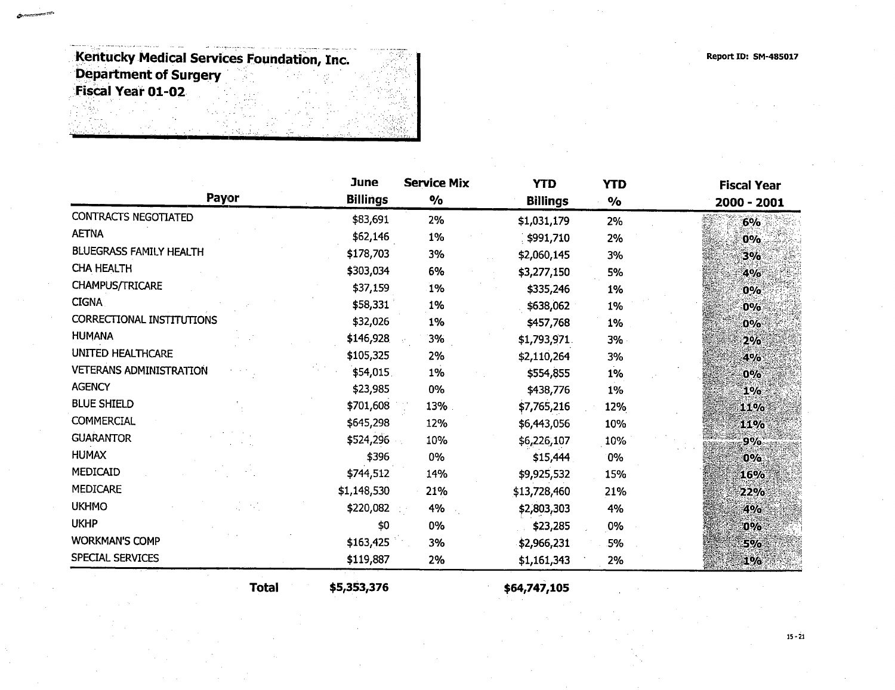Report ID: SM-485017

Kentucky Medical Services Foundation, Inc. Department of Surgery Fiscal Year 01-02

|                                | <b>June</b>     | <b>Service Mix</b> | <b>YTD</b>      | <b>YTD</b>    | <b>Fiscal Year</b> |  |
|--------------------------------|-----------------|--------------------|-----------------|---------------|--------------------|--|
| Payor                          | <b>Billings</b> | $\%$               | <b>Billings</b> | $\frac{6}{6}$ | 2000 - 2001        |  |
| <b>CONTRACTS NEGOTIATED</b>    | \$83,691        | 2%                 | \$1,031,179     | 2%            | 6%                 |  |
| <b>AETNA</b>                   | \$62,146        | 1%                 | \$991,710       | 2%            | 0%                 |  |
| <b>BLUEGRASS FAMILY HEALTH</b> | \$178,703       | 3%                 | \$2,060,145     | 3%            | 3%                 |  |
| <b>CHA HEALTH</b>              | \$303,034       | 6%                 | \$3,277,150     | 5%            | 4%                 |  |
| <b>CHAMPUS/TRICARE</b>         | \$37,159        | 1%                 | \$335,246       | 1%            | $0\%$              |  |
| <b>CIGNA</b>                   | \$58,331        | 1%                 | \$638,062       | 1%            | 0%                 |  |
| CORRECTIONAL INSTITUTIONS      | \$32,026        | 1%                 | \$457,768       | $1\%$         | $0\%$              |  |
| <b>HUMANA</b>                  | \$146,928       | 3%                 | \$1,793,971.    | 3%            | 2%                 |  |
| <b>UNITED HEALTHCARE</b>       | \$105,325       | 2%                 | \$2,110,264     | 3%            | 4%                 |  |
| <b>VETERANS ADMINISTRATION</b> | \$54,015        | 1%                 | \$554,855       | 1%            | $0\%$              |  |
| <b>AGENCY</b>                  | \$23,985        | 0%                 | \$438,776       | 1%            | 1%                 |  |
| <b>BLUE SHIELD</b>             | \$701,608       | 13%                | \$7,765,216     | 12%           | 11%                |  |
| <b>COMMERCIAL</b>              | \$645,298       | 12%                | \$6,443,056     | 10%           | 11%                |  |
| <b>GUARANTOR</b>               | \$524,296       | 10%                | \$6,226,107     | 10%           | 9%                 |  |
| <b>HUMAX</b>                   | \$396           | 0%                 | \$15,444        | 0%            | $0\%$              |  |
| MEDICAID                       | \$744,512       | 14%                | \$9,925,532     | 15%           | 16%                |  |
| <b>MEDICARE</b>                | \$1,148,530     | 21%                | \$13,728,460    | 21%           | 22%                |  |
| <b>UKHMO</b>                   | \$220,082       | 4%                 | \$2,803,303     | 4%            | 4%                 |  |
| <b>UKHP</b>                    | \$0             | 0%                 | \$23,285        | 0%            | $0\%$              |  |
| <b>WORKMAN'S COMP</b>          | \$163,425       | 3%                 | \$2,966,231     | .5%           | <b>5%</b>          |  |
| <b>SPECIAL SERVICES</b>        | \$119,887       | 2%                 | \$1,161,343     | 2%            | $1\%$              |  |

Total \$5,353,376 \$64,747,105

15-21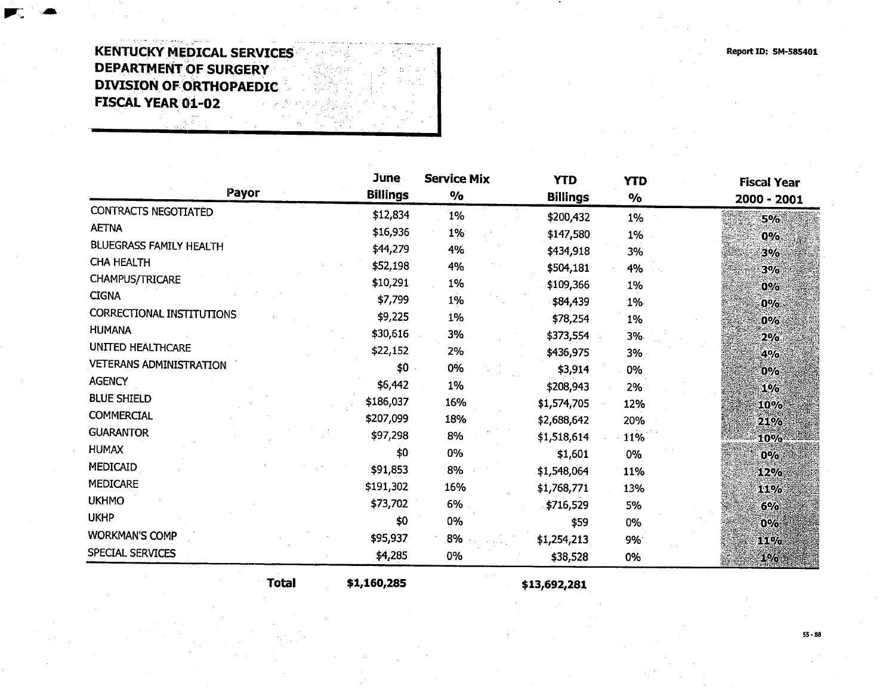## **KENTUCKY MEDICAL SERVICES** DEPARTMENT OF SURGERY DIVISION OF ORTHOPAEDIC FISCAL YEAR 01-02

| Payor                            | June<br><b>Billings</b> | <b>Service Mix</b><br>$\frac{1}{2}$ | <b>YTD</b><br><b>Billings</b> | <b>YTD</b><br>$\frac{1}{2}$ | <b>Fiscal Year</b><br>2000 - 2001 |  |
|----------------------------------|-------------------------|-------------------------------------|-------------------------------|-----------------------------|-----------------------------------|--|
| <b>CONTRACTS NEGOTIATED</b>      | \$12,834                | 1%                                  | \$200,432                     | 1%                          | 5%                                |  |
| <b>AETNA</b>                     | \$16,936                | 1%                                  | \$147,580                     | 1%                          | $0\%$                             |  |
| <b>BLUEGRASS FAMILY HEALTH</b>   | \$44,279                | 4%                                  | \$434,918                     | 3%                          | 3%                                |  |
| <b>CHA HEALTH</b>                | \$52,198                | 4%                                  | \$504,181                     | 4%                          | 3%                                |  |
| CHAMPUS/TRICARE                  | \$10,291                | 1%                                  | \$109,366                     | 1%                          | $0\%$                             |  |
| <b>CIGNA</b>                     | \$7,799                 | 1%                                  | \$84,439                      | $1\%$                       | $0\%$                             |  |
| <b>CORRECTIONAL INSTITUTIONS</b> | \$9,225                 | 1%                                  | \$78,254                      | 1%                          | 0%                                |  |
| <b>HUMANA</b>                    | \$30,616                | 3%                                  | \$373,554                     | 3%                          | 2%                                |  |
| <b>UNITED HEALTHCARE</b>         | \$22,152                | 2%                                  | \$436,975                     | 3%                          | 4%                                |  |
| <b>VETERANS ADMINISTRATION</b>   | \$0                     | $0\%$                               | \$3,914                       | 0%                          | $0\%$                             |  |
| <b>AGENCY</b>                    | \$6,442                 | 1%                                  | \$208,943                     | 2%                          |                                   |  |
| <b>BLUE SHIELD</b>               | \$186,037               | 16%                                 | \$1,574,705                   | 12%                         | $1\%$                             |  |
| <b>COMMERCIAL</b>                | \$207,099               | 18%                                 | \$2,688,642                   | 20%                         | 10%                               |  |
| <b>GUARANTOR</b>                 | \$97,298                | 8%                                  | \$1,518,614                   | 11%                         | 21%                               |  |
| <b>HUMAX</b>                     | \$0                     | 0%                                  |                               |                             | $10\%$                            |  |
| MEDICAID                         | \$91,853                | 8%                                  | \$1,601                       | 0%                          | 0%                                |  |
| <b>MEDICARE</b>                  | \$191,302               | 16%                                 | \$1,548,064                   | 11%                         | 12%                               |  |
| <b>UKHMO</b>                     |                         |                                     | \$1,768,771                   | 13%                         | 11%                               |  |
| <b>UKHP</b>                      | \$73,702                | 6%                                  | \$716,529                     | 5%                          | $6\%$                             |  |
| <b>WORKMAN'S COMP</b>            | \$0                     | 0%                                  | \$59                          | 0%                          | $0\%$                             |  |
|                                  | \$95,937                | 8%                                  | \$1,254,213                   | 9%                          | 11%                               |  |
| SPECIAL SERVICES                 | \$4,285                 | 0%                                  | \$38,528                      | 0%                          | 1%                                |  |

Total \$1,160,285 \$13,692,281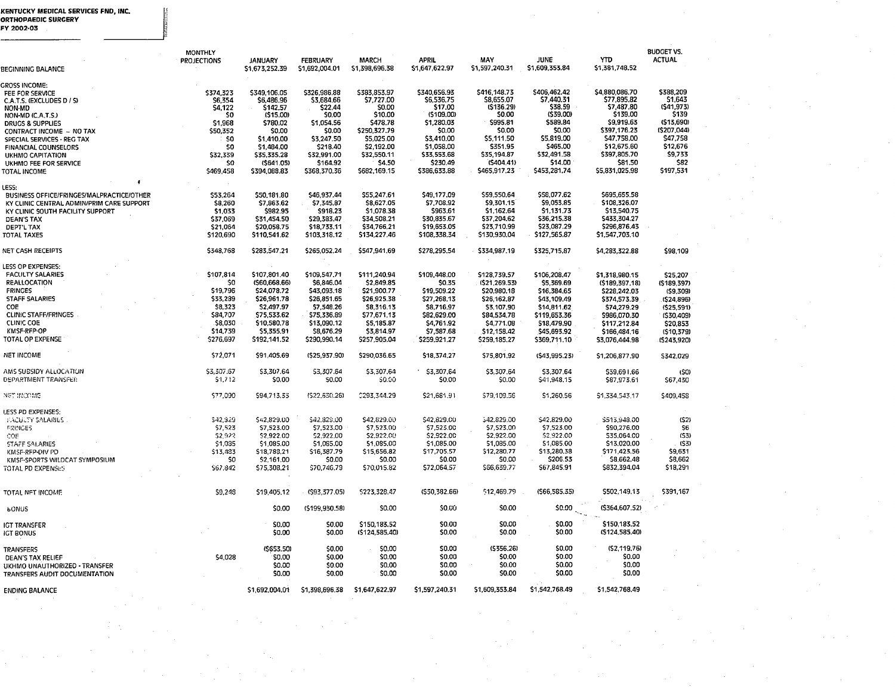# KENTUCKY MEDICAL SERVICES FND, IN<mark>C</mark><br>ORTHOPAEDIC SURGERY<br>FY 2002-03

|                                                                                        | <b>MONTHLY</b><br><b>PROJECTIONS</b> | <b>JANUARY</b>              | <b>FEBRUARY</b>            | <b>MARCH</b><br>\$1,398,696.38 | <b>APRIL</b><br>\$1,647,622.97 | MAY<br>\$1.597.240.31        | JUNE<br>\$1,609,353.84     | <b>YTD</b><br>\$1,381,748.52  | <b>BUDGET VS.</b><br><b>ACTUAL</b> |
|----------------------------------------------------------------------------------------|--------------------------------------|-----------------------------|----------------------------|--------------------------------|--------------------------------|------------------------------|----------------------------|-------------------------------|------------------------------------|
| BEGINNING BALANCE                                                                      |                                      | \$1 673,252.39              | \$1,692,004.01             |                                |                                |                              |                            |                               |                                    |
| <b>GROSS INCOME:</b><br>FEE FOR SERVICE<br>C.A.T.S. (EXCLUDES D / S)                   | \$374,323<br>S6,354                  | \$349.106.05<br>\$6,486.96  | \$326.986.88<br>\$3,684.66 | \$383,853.97<br>\$7,727.00     | \$340,656.93<br>\$6,536.75     | \$416,148.73<br>\$8,655.07   | \$406,462.42<br>\$7,440.31 | \$4,880,086.70<br>\$77,895.82 | \$388,209<br>S1,643                |
| NON-MD                                                                                 | \$4,122                              | \$142.57                    | \$22.44                    | <b>SO.00</b>                   | \$17.00                        | (5136.29)                    | \$38.59                    | \$7,487.80                    | (\$41,973)                         |
| NON-MD (C.A.T.S.)<br><b>DRUCS &amp; SUPPLIES</b>                                       | \$O<br>\$1,968                       | (515.00)<br>\$780.02        | \$0.00<br>\$1,054.56       | \$10.00<br>\$478.78            | (\$109.00)<br>\$1,280.03       | \$0.00<br>\$995.81           | (\$39.00)<br>\$589.84      | \$139.00<br>\$9,919.63        | \$139<br>(\$13,690)                |
| CONTRACT INCOME - NO TAX                                                               | \$50,352                             | \$0.00                      | \$0.00                     | \$250,327.79                   | \$0.00                         | \$0.00                       | \$0.00                     | \$397,176.23                  | (\$207,044)                        |
| SPECIAL SERVICES - REG TAX                                                             | SO                                   | \$1,410.00                  | \$3,247.50                 | \$5,025.00                     | \$3,410.00                     | \$5,111.50                   | \$5,819.00                 | \$47,758,00                   | \$47,758                           |
| FINANCIAL COUNSELORS                                                                   | \$O                                  | \$1,484.00                  | \$218.40                   | \$2,192.00                     | \$1,058.00                     | \$351.95                     | \$465.00                   | \$12,675.60                   | \$12,676                           |
| UKHMO CAPITATION                                                                       | \$32.339<br>\$0                      | \$35,335.28<br>(\$641.05)   | \$32,991.00<br>\$164.92    | \$32,550.11<br>\$4.50          | \$33,553.68<br>\$230.49        | \$35,194.87<br>(5404.41)     | \$32,491.58<br>\$14.00     | \$397,805.70<br>\$81.50       | \$9,733<br>\$82                    |
| UKHMO FEE FOR SERVICE<br>TOTAL INCOME                                                  | \$469,458                            | \$394,088.83                | \$368,370.36               | \$682,169.15                   | \$386,633.88                   | \$465,917.23                 | \$453,281.74               | \$5,831,025.98                | \$197,531                          |
|                                                                                        |                                      |                             |                            |                                |                                |                              |                            |                               |                                    |
| LESS:                                                                                  | \$53,264                             | \$50,181.80                 | \$46,937.44                | \$55,247.61                    | \$49,177.09                    | \$59,550.64                  | \$58,077.62                | \$695,655.58                  |                                    |
| BUSINESS OFFICE/FRINGES/MALPRACTICE/OTHER<br>KY CLINIC CENTRAL ADMIN/PRIM CARE SUPPORT | \$8,260                              | \$7,863.62                  | \$7,345.87                 | \$8,627.05                     | S7.708.92                      | \$9,301.15                   | \$9,053.85                 | \$108,326.07                  |                                    |
| KY CLINIC SOUTH FACILITY SUPPORT                                                       | \$1,033                              | \$982.95                    | \$918.23                   | \$1,078.38                     | \$963.61                       | \$1,162.64                   | \$1,131.73                 | \$13,540.75                   |                                    |
| <b>DEAN'S TAX</b>                                                                      | \$37,069                             | \$31,454.50                 | \$29,383.47                | \$34,508.21                    | \$30,835.67                    | \$37,204.62                  | \$36,215.38                | \$433,304.27                  |                                    |
| DEPT'L TAX                                                                             | \$21,064                             | \$20,058.75                 | \$18,733.11                | \$34,766.21                    | \$19,653.05                    | \$23,710.99                  | \$23,087.29                | \$296,876.43                  |                                    |
| <b>TOTAL TAXES</b>                                                                     | \$120,690                            | \$110,541.62                | \$103,318.12               | \$134,227.46                   | \$108,338.34                   | \$130,930.04                 | \$127,565.87               | \$1,547,703,10                |                                    |
| NET CASH RECEIPTS                                                                      | \$348,768                            | \$283,547.21                | \$265,052.24               | \$547,941,69                   | \$278,295.54                   | \$334,987.19                 | \$325,715.87               | \$4,283,322.88                | \$98.109                           |
| LESS OP EXPENSES:                                                                      |                                      |                             |                            |                                |                                |                              |                            |                               |                                    |
| <b>FACULTY SALARIES</b>                                                                | \$107,814                            | \$107,801.40                | \$109,547.71               | \$111,240.94                   | \$109,448.00                   | \$128,739.57                 | \$106,208.47               | \$1,318,980.15                | \$25.207                           |
| REALLOCATION<br><b>FRINCES</b>                                                         | SO.<br>\$19,796                      | (560.668.66)<br>\$24,078.72 | \$6,846.04<br>\$43,093.18  | \$2,849.85<br>\$21,900.77      | \$0.35                         | (\$21,269.53)<br>\$20,980.18 | \$5,369.69                 | (\$189,397,18)                | (\$189,397)                        |
| <b>STAFF SALARIES</b>                                                                  | \$33,239                             | \$26,961.78                 | \$26,851.65                | \$26,925.38                    | \$19,509.22<br>\$27,268.13     | \$26,162,87                  | \$16,384.65<br>\$43,109.49 | \$228,242.03<br>\$374,573.39  | (59,309)<br>(\$24,896)             |
| COE.                                                                                   | \$8,323                              | \$2,497.97                  | \$7,548.26                 | \$8,316.13                     | \$8,716,97                     | \$3,107.90                   | \$14,811.62                | \$74,279.29                   | (\$25,591)                         |
| <b>CLINIC STAFF/FRINGES</b>                                                            | \$84,707                             | \$75,533.62                 | \$75,336.89                | \$77,671.13                    | \$82,629.00                    | \$84,534,78                  | \$119,653.36               | \$986,070.30                  | (\$30,409)                         |
| <b>CLINIC COE</b>                                                                      | \$8,030                              | \$10,580.78                 | \$13,090.12                | \$5,185.87                     | \$4,761.92                     | \$4,771.08                   | \$18,479.90                | \$117,212.84                  | \$20,853                           |
| KMSF-RFP-OP                                                                            | \$14,739                             | \$5,355.91                  | \$8,676.29                 | \$3,814.97                     | \$7,587.68                     | \$12,158.42                  | \$45,693.92                | \$166,484.16                  | (\$10,379)                         |
| TOTAL OP EXPENSE                                                                       | \$276,697                            | \$192,141.52                | \$290,990.14               | \$257,905.04                   | \$259,921.27                   | \$259,185.27                 | \$369,711.10               | \$3,076,444.98                | (\$243,920)                        |
| <b>NET INCOME</b>                                                                      | \$72,071                             | \$91,405.69                 | (\$25,937.90)              | \$290,036.65                   | \$18,374.27                    | \$75,801.92                  | (\$43,995.23)              | \$1,206,877.90                | \$342,029                          |
| AMS SUBSIDY ALLOCATION                                                                 | \$3,307.67                           | \$3,307.64                  | \$3,307.64                 | \$3,307.64                     | \$3,307.64                     | \$3,307.64                   | \$3.307.64                 | \$59,691.66                   | (\$0)                              |
| DEPARTMENT TRANSFER                                                                    | \$1,712                              | \$0.00                      | S0.00                      | \$0.00                         | \$0.00                         | \$0.00                       | \$41,948.15                | \$87,973.61                   | \$67,430                           |
| NET INCOME                                                                             | \$77,090                             | \$94,713.33                 | (\$22,630.26)              | 0293.344.29                    | \$21,681.91                    | \$79,109.56                  | \$1,260.56                 | \$1,334,543.17                | \$409,458                          |
| LESS PD EXPENSES:                                                                      |                                      |                             |                            |                                |                                |                              |                            |                               |                                    |
| <b>EACULTY SALARIES</b>                                                                | \$42,329                             | \$42,829.00                 | \$42,829.00                | \$42,829.00                    | \$42,829.00                    | 542.829.00                   | \$42,829.00                | \$513,948.00                  | (52)                               |
| <b>FRINGES</b>                                                                         | \$7.523                              | \$7,523.00                  | \$7,523.00                 | \$7,523.00                     | \$7,523.00                     | \$7,523.00                   | \$7,523.00                 | \$90,276,00                   | S6                                 |
| COE<br>STAFF SALARIES                                                                  | \$2,922<br>\$1,035                   | \$2,922.00<br>\$1,085.00    | \$2,922.00<br>\$1,085.00   | \$2,922.00<br>\$1,085.00       | \$2,922.00<br>\$1,085.00       | \$2,922.00<br>\$1,085.00     | \$2,922.00<br>\$1,085.00   | \$35,064.00<br>\$13,020,00    | (53)<br>(53)                       |
| KMSF-RFP-DIV PD                                                                        | \$13,483                             | \$18,788.21                 | \$16,387.79                | \$15,656.82                    | \$17,705.57                    | \$12,280.77                  | \$13,280.38                | \$171,423.56                  | \$9,631                            |
| KMSF-SPORTS WILDCAT SYMPOSIUM                                                          | SO.                                  | \$2,161.00                  | \$0.00                     | \$0.00                         | \$0.00                         | \$0.00                       | \$206.53                   | \$8,662,48                    | \$8,662                            |
| TOTAL PD EXPENSES                                                                      | \$67.842                             | \$75,308.21                 | \$70,746.79                | \$70,015.82                    | \$72,064.57                    | \$66,639.77                  | \$67,845.91                | \$832,394.04                  | \$18,291                           |
|                                                                                        |                                      |                             |                            |                                |                                |                              |                            |                               |                                    |
| TOTAL NFT INCOME                                                                       | \$9,248                              | \$19,405.12                 | (\$93,377.05)              | \$223,328.47                   | (550, 382.66)                  | 512,469.79                   | (566, 585, 35)             | \$502.149.13                  | \$391,167                          |
| <b>POMUS</b>                                                                           |                                      | \$0.00                      | (\$199,930.58)             | \$0.00                         | \$0.00                         | \$0.00                       | \$0.00                     | (\$364,607.52)                |                                    |
| <b>IGT TRANSFER</b>                                                                    |                                      | \$0.00                      | \$0.00                     | \$150,183.52                   | \$0.00                         | \$0.00                       | \$0.00                     | \$150,183.52                  |                                    |
| <b>IGT BONUS</b>                                                                       |                                      | \$0.00                      | \$0.00                     | (\$124,585.40)                 | \$0.00                         | \$0.00                       | \$0.00                     | (\$124,585.40)                |                                    |
| <b>TRANSFERS</b>                                                                       |                                      | (\$653.50)                  | \$0.00                     | \$0.00                         | \$0.00                         | (5356.26)                    | \$0.00                     | (S2, 119.76)                  |                                    |
| DEAN'S TAX RELIEF                                                                      | \$4,028                              | \$0.00                      | \$0.00                     | \$0.00                         | \$0.00                         | \$0.00                       | \$0.00                     | \$0.00                        |                                    |
| UKHMO UNAUTHORIZED - TRANSFER                                                          |                                      | <b>SO.00</b>                | \$0.00                     | 50.00                          | \$0.00                         | \$0.00                       | \$0.00                     | \$0.00                        |                                    |
| <b>TRANSFERS AUDIT DOCUMENTATION</b>                                                   |                                      | \$0.00                      | \$0.00                     | \$0.00                         | \$0.00                         | \$0.00                       | \$0.00                     | \$0.00                        |                                    |
| <b>ENDING BALANCE</b>                                                                  |                                      | \$1,692,004.01              | \$1,398,696,38             | \$1,647,622.97                 | \$1,597,240.31                 | \$1,609,353.84               | \$1,542,768.49             | \$1,542,768.49                |                                    |